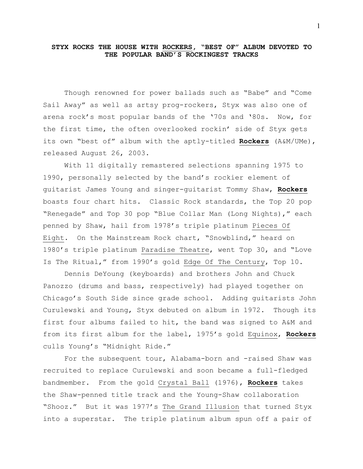## **STYX ROCKS THE HOUSE WITH ROCKERS, "BEST OF" ALBUM DEVOTED TO THE POPULAR BAND'S ROCKINGEST TRACKS**

Though renowned for power ballads such as "Babe" and "Come Sail Away" as well as artsy prog-rockers, Styx was also one of arena rock's most popular bands of the '70s and '80s. Now, for the first time, the often overlooked rockin' side of Styx gets its own "best of" album with the aptly-titled **Rockers** (A&M/UMe), released August 26, 2003.

With 11 digitally remastered selections spanning 1975 to 1990, personally selected by the band's rockier element of guitarist James Young and singer-guitarist Tommy Shaw, **Rockers** boasts four chart hits. Classic Rock standards, the Top 20 pop "Renegade" and Top 30 pop "Blue Collar Man (Long Nights)," each penned by Shaw, hail from 1978's triple platinum Pieces Of Eight. On the Mainstream Rock chart, "Snowblind," heard on 1980's triple platinum Paradise Theatre, went Top 30, and "Love Is The Ritual," from 1990's gold Edge Of The Century, Top 10.

Dennis DeYoung (keyboards) and brothers John and Chuck Panozzo (drums and bass, respectively) had played together on Chicago's South Side since grade school. Adding guitarists John Curulewski and Young, Styx debuted on album in 1972. Though its first four albums failed to hit, the band was signed to A&M and from its first album for the label, 1975's gold Equinox, **Rockers** culls Young's "Midnight Ride."

For the subsequent tour, Alabama-born and -raised Shaw was recruited to replace Curulewski and soon became a full-fledged bandmember. From the gold Crystal Ball (1976), **Rockers** takes the Shaw-penned title track and the Young-Shaw collaboration "Shooz." But it was 1977's The Grand Illusion that turned Styx into a superstar. The triple platinum album spun off a pair of